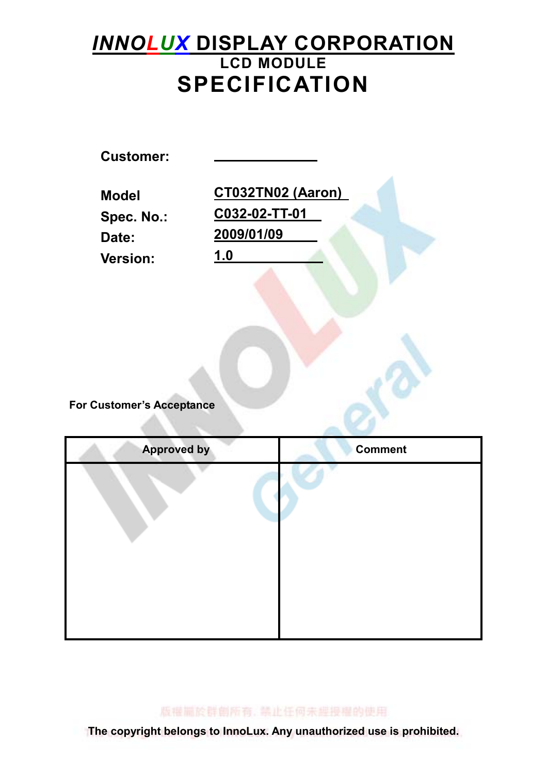# INNOLUX DISPLAY CORPORATION LCD MODULE SPECIFICATION

Customer: Model CT032TN02 (Aaron) Spec. No.: C032-02-TT-01 Date: 2009/01/09 Version: 1.0

For Customer's Acceptance

| <b>Approved by</b> | <b>Comment</b> |
|--------------------|----------------|
|                    |                |
|                    |                |
|                    |                |
|                    |                |
|                    |                |
|                    |                |
|                    |                |
|                    |                |

版權圖於群劇所有, 禁止任何未經授權的使用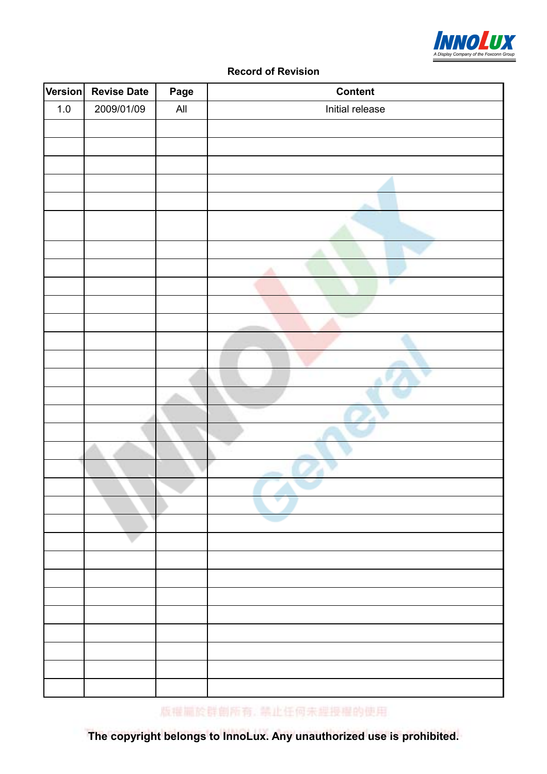

#### Record of Revision

| Version | <b>Revise Date</b> | Page           | <b>Content</b>  |
|---------|--------------------|----------------|-----------------|
| $1.0\,$ | 2009/01/09         | $\mathsf{All}$ | Initial release |
|         |                    |                |                 |
|         |                    |                |                 |
|         |                    |                |                 |
|         |                    |                |                 |
|         |                    |                |                 |
|         |                    |                |                 |
|         |                    |                |                 |
|         |                    |                |                 |
|         |                    |                |                 |
|         |                    |                |                 |
|         |                    |                |                 |
|         |                    |                |                 |
|         |                    |                |                 |
|         |                    |                |                 |
|         |                    |                |                 |
|         |                    |                |                 |
|         |                    |                |                 |
|         |                    |                |                 |
|         |                    |                |                 |
|         |                    |                |                 |
|         |                    |                |                 |
|         |                    |                |                 |
|         |                    |                |                 |
|         |                    |                |                 |
|         |                    |                |                 |
|         |                    |                |                 |
|         |                    |                |                 |
|         |                    |                |                 |
|         |                    |                |                 |
|         |                    |                |                 |
|         |                    |                |                 |
|         |                    |                |                 |

版權圖於群劇所有, 禁止任何未經授權的使用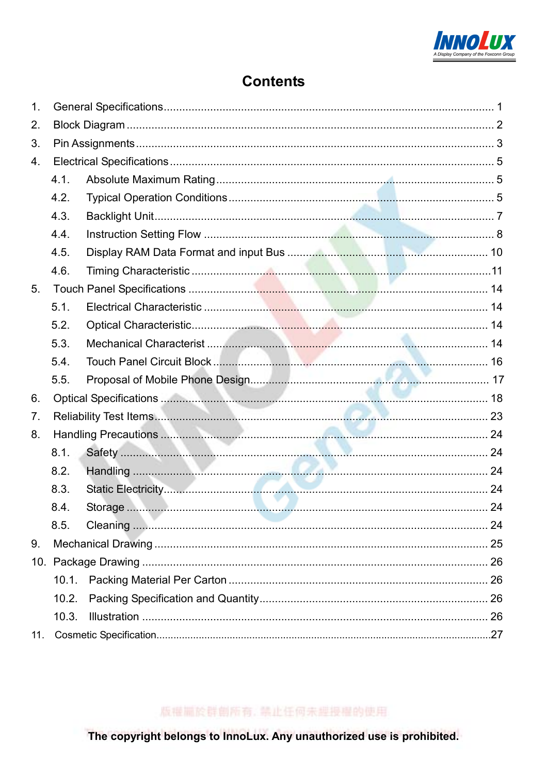

## **Contents**

| 1. |       |  |
|----|-------|--|
| 2. |       |  |
| 3. |       |  |
| 4. |       |  |
|    | 4.1.  |  |
|    | 4.2.  |  |
|    | 4.3.  |  |
|    | 4.4.  |  |
|    | 4.5.  |  |
|    | 4.6.  |  |
| 5. |       |  |
|    | 5.1.  |  |
|    | 5.2.  |  |
|    | 5.3.  |  |
|    | 5.4.  |  |
|    | 5.5.  |  |
| 6. |       |  |
| 7. |       |  |
| 8. |       |  |
|    | 8.1.  |  |
|    | 8.2.  |  |
|    | 8.3.  |  |
|    | 8.4.  |  |
|    | 8.5.  |  |
| 9. |       |  |
|    |       |  |
|    |       |  |
|    | 10.2. |  |
|    | 10.3. |  |
|    |       |  |

版權圖於群劇所有, 禁止任何未經授權的使用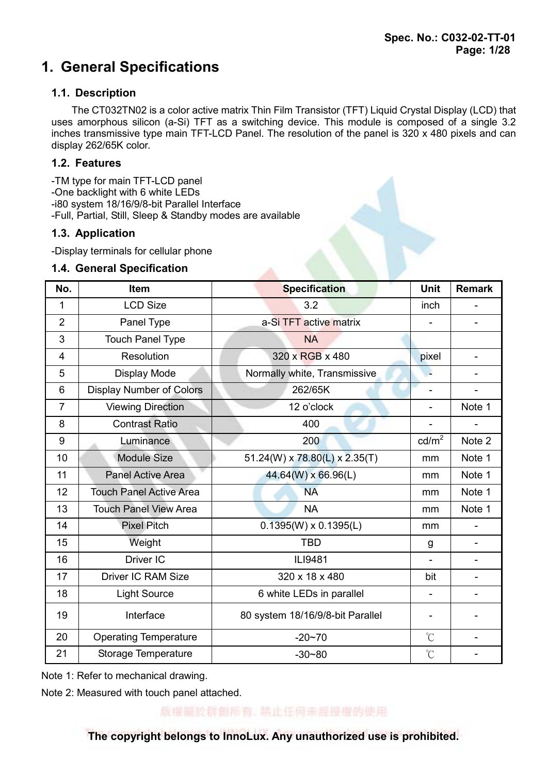# 1. General Specifications

### 1.1. Description

 The CT032TN02 is a color active matrix Thin Film Transistor (TFT) Liquid Crystal Display (LCD) that uses amorphous silicon (a-Si) TFT as a switching device. This module is composed of a single 3.2 inches transmissive type main TFT-LCD Panel. The resolution of the panel is 320 x 480 pixels and can display 262/65K color.

### 1.2. Features

-TM type for main TFT-LCD panel -One backlight with 6 white LEDs -i80 system 18/16/9/8-bit Parallel Interface

-Full, Partial, Still, Sleep & Standby modes are available

### 1.3. Application

-Display terminals for cellular phone

### 1.4. General Specification

| No.            | Item                            | <b>Specification</b>             | <b>Unit</b>          | <b>Remark</b>  |
|----------------|---------------------------------|----------------------------------|----------------------|----------------|
| 1              | <b>LCD Size</b>                 | 3.2                              | inch                 |                |
| $\overline{2}$ | Panel Type                      | a-Si TFT active matrix           |                      |                |
| 3              | <b>Touch Panel Type</b>         | <b>NA</b>                        |                      |                |
| 4              | Resolution                      | 320 x RGB x 480                  | pixel                | -              |
| 5              | Display Mode                    | Normally white, Transmissive     |                      |                |
| 6              | <b>Display Number of Colors</b> | 262/65K                          |                      | ۰              |
| $\overline{7}$ | <b>Viewing Direction</b>        | 12 o'clock                       | L.                   | Note 1         |
| 8              | <b>Contrast Ratio</b>           | 400                              | -                    |                |
| 9              | Luminance                       | 200                              | cd/m <sup>2</sup>    | Note 2         |
| 10             | <b>Module Size</b>              | 51.24(W) x 78.80(L) x 2.35(T)    | mm                   | Note 1         |
| 11             | <b>Panel Active Area</b>        | 44.64(W) x 66.96(L)              | mm                   | Note 1         |
| 12             | <b>Touch Panel Active Area</b>  | <b>NA</b>                        | mm                   | Note 1         |
| 13             | <b>Touch Panel View Area</b>    | <b>NA</b>                        | mm                   | Note 1         |
| 14             | <b>Pixel Pitch</b>              | $0.1395(W) \times 0.1395(L)$     | mm                   |                |
| 15             | Weight                          | <b>TBD</b>                       | g                    |                |
| 16             | Driver IC                       | ILI9481                          |                      |                |
| 17             | <b>Driver IC RAM Size</b>       | 320 x 18 x 480                   | bit                  | $\overline{a}$ |
| 18             | <b>Light Source</b>             | 6 white LEDs in parallel         |                      |                |
| 19             | Interface                       | 80 system 18/16/9/8-bit Parallel | -                    |                |
| 20             | <b>Operating Temperature</b>    | $-20 - 70$                       | $\mathrm{C}^{\circ}$ | L,             |
| 21             | Storage Temperature             | $-30 - 80$                       | $\mathrm{C}^{\circ}$ |                |

Note 1: Refer to mechanical drawing.

Note 2: Measured with touch panel attached.

版權圖於群劇所有, 禁止任何未經授權的使用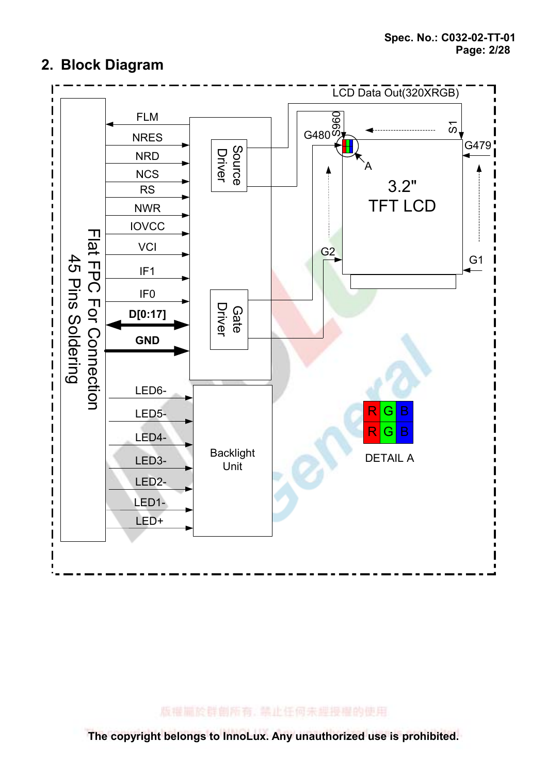



版權扁於群劇所有, 禁止任何未經授權的使用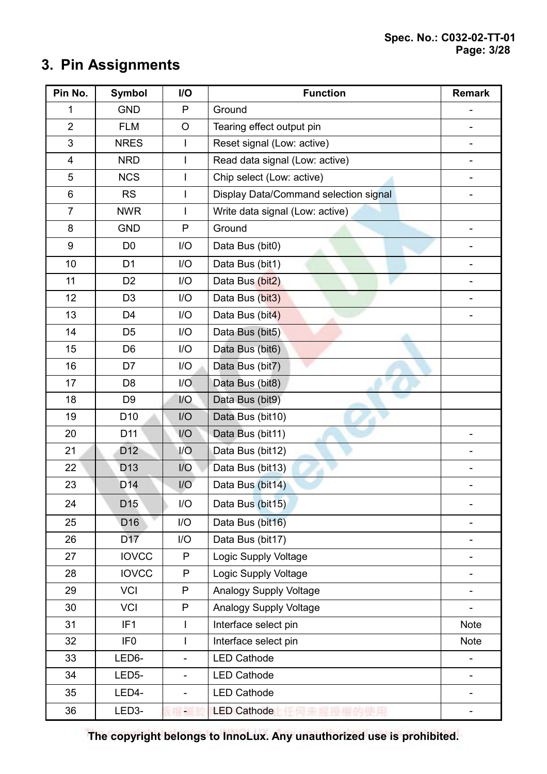# 3. Pin Assignments

| Pin No.        | <b>Symbol</b>   | I/O                      | <b>Function</b>                       | <b>Remark</b> |
|----------------|-----------------|--------------------------|---------------------------------------|---------------|
| 1              | <b>GND</b>      | P                        | Ground                                |               |
| $\overline{2}$ | <b>FLM</b>      | O                        | Tearing effect output pin             |               |
| $\mathfrak{S}$ | <b>NRES</b>     | I.                       | Reset signal (Low: active)            |               |
| $\overline{4}$ | <b>NRD</b>      | $\mathbf{I}$             | Read data signal (Low: active)        |               |
| 5              | <b>NCS</b>      |                          | Chip select (Low: active)             |               |
| 6              | <b>RS</b>       | $\mathsf{I}$             | Display Data/Command selection signal |               |
| $\overline{7}$ | <b>NWR</b>      | $\overline{1}$           | Write data signal (Low: active)       |               |
| 8              | <b>GND</b>      | $\mathsf{P}$             | Ground                                |               |
| 9              | D <sub>0</sub>  | I/O                      | Data Bus (bit0)                       |               |
| 10             | D <sub>1</sub>  | I/O                      | Data Bus (bit1)                       |               |
| 11             | D <sub>2</sub>  | I/O                      | Data Bus (bit2)                       |               |
| 12             | D <sub>3</sub>  | I/O                      | Data Bus (bit3)                       |               |
| 13             | D <sub>4</sub>  | I/O                      | Data Bus (bit4)                       |               |
| 14             | D <sub>5</sub>  | I/O                      | Data Bus (bit5)                       |               |
| 15             | D <sub>6</sub>  | I/O                      | Data Bus (bit6)                       |               |
| 16             | D7              | I/O                      | Data Bus (bit7)                       |               |
| 17             | D <sub>8</sub>  | 1/O                      | Data Bus (bit8)                       |               |
| 18             | D <sub>9</sub>  | 1/O                      | Data Bus (bit9)                       |               |
| 19             | D <sub>10</sub> | I/O                      | Data Bus (bit10)                      |               |
| 20             | D11             | I/O                      | Data Bus (bit11)                      |               |
| 21             | D <sub>12</sub> | I/O                      | Data Bus (bit12)                      |               |
| 22             | D <sub>13</sub> | I/O                      | Data Bus (bit13)                      |               |
| 23             | D <sub>14</sub> | I/O                      | Data Bus (bit14)                      |               |
| 24             | D <sub>15</sub> | I/O                      | Data Bus (bit15)                      |               |
| 25             | D <sub>16</sub> | I/O                      | Data Bus (bit16)                      |               |
| 26             | D <sub>17</sub> | I/O                      | Data Bus (bit17)                      |               |
| 27             | <b>IOVCC</b>    | P                        | Logic Supply Voltage                  |               |
| 28             | <b>IOVCC</b>    | P                        | Logic Supply Voltage                  |               |
| 29             | <b>VCI</b>      | P                        | Analogy Supply Voltage                |               |
| 30             | <b>VCI</b>      | P                        | Analogy Supply Voltage                |               |
| 31             | IF <sub>1</sub> | $\mathsf{I}$             | Interface select pin                  | <b>Note</b>   |
| 32             | IF <sub>0</sub> | $\overline{1}$           | Interface select pin                  | Note          |
| 33             | LED6-           | $\overline{\phantom{a}}$ | <b>LED Cathode</b>                    |               |
| 34             | LED5-           | $\overline{\phantom{a}}$ | <b>LED Cathode</b>                    |               |
| 35             | LED4-           | $\overline{\phantom{a}}$ | <b>LED Cathode</b>                    |               |
| 36             | LED3-           | ٠                        | <b>LED Cathode</b>                    |               |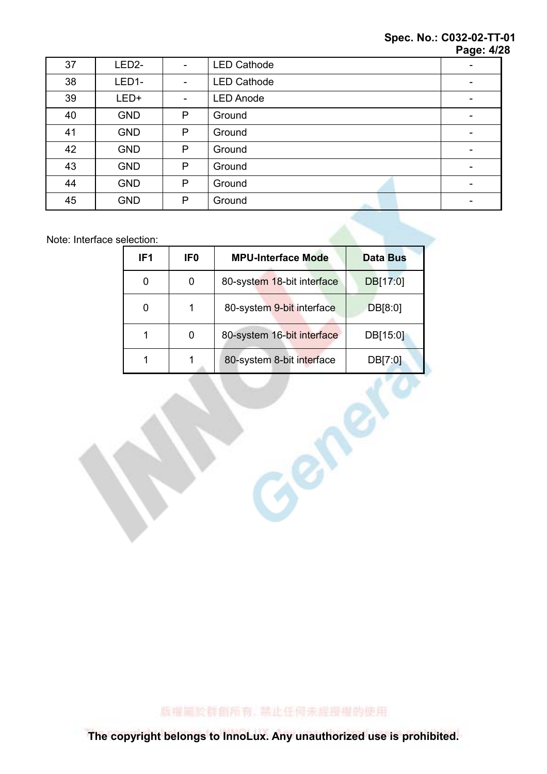#### Spec. No.: C032-02-TT-01 **Page: 4/28**

|    |                    |                          |                    | . ugu. - <i>n</i> |
|----|--------------------|--------------------------|--------------------|-------------------|
| 37 | LED <sub>2</sub> - | -                        | <b>LED Cathode</b> |                   |
| 38 | LED1-              | $\overline{\phantom{a}}$ | <b>LED Cathode</b> |                   |
| 39 | LED+               | ۰                        | <b>LED Anode</b>   |                   |
| 40 | <b>GND</b>         | P                        | Ground             | ۰                 |
| 41 | <b>GND</b>         | P                        | Ground             | ۰                 |
| 42 | <b>GND</b>         | P                        | Ground             | -                 |
| 43 | <b>GND</b>         | $\mathsf{P}$             | Ground             |                   |
| 44 | <b>GND</b>         | P                        | Ground             |                   |
| 45 | <b>GND</b>         | P                        | Ground             |                   |

Note: Interface selection:

| 80-system 18-bit interface<br>DB[17:0]<br>0<br>0<br>80-system 9-bit interface<br>0<br>1<br>DB[8:0]<br>80-system 16-bit interface<br>1<br>0<br>DB[15:0]<br>80-system 8-bit interface<br>DB[7:0]<br>1<br>1 | IF <sub>1</sub> | IF <sub>0</sub> | <b>MPU-Interface Mode</b> | <b>Data Bus</b> |
|----------------------------------------------------------------------------------------------------------------------------------------------------------------------------------------------------------|-----------------|-----------------|---------------------------|-----------------|
|                                                                                                                                                                                                          |                 |                 |                           |                 |
|                                                                                                                                                                                                          |                 |                 |                           |                 |
|                                                                                                                                                                                                          |                 |                 |                           |                 |
|                                                                                                                                                                                                          |                 |                 |                           |                 |
|                                                                                                                                                                                                          |                 |                 |                           |                 |
|                                                                                                                                                                                                          |                 |                 |                           |                 |

版權圖於群創所有, 禁止任何未經授權的使用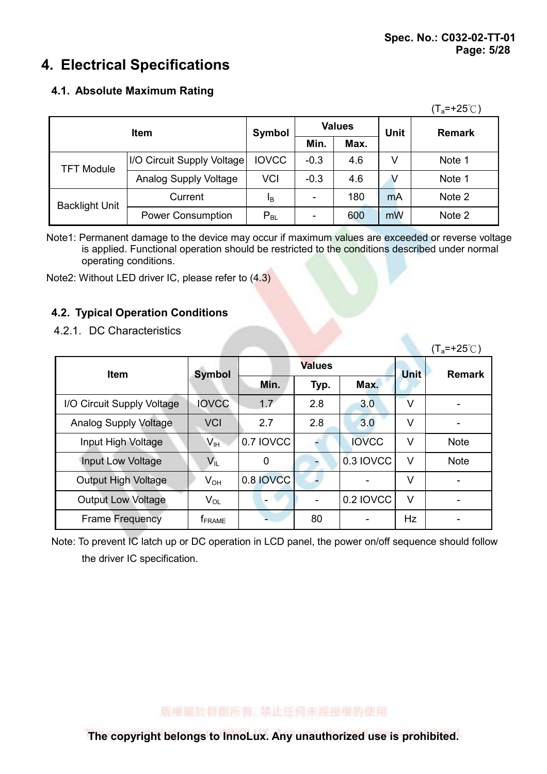# 4. Electrical Specifications

### 4.1. Absolute Maximum Rating

|                       |                            |                |        |               |             | $(T_a=+25^{\circ}C)$ |  |
|-----------------------|----------------------------|----------------|--------|---------------|-------------|----------------------|--|
| <b>Item</b>           |                            | Symbol         |        | <b>Values</b> | <b>Unit</b> | <b>Remark</b>        |  |
|                       |                            | Min.           |        | Max.          |             |                      |  |
| <b>TFT Module</b>     | I/O Circuit Supply Voltage | <b>IOVCC</b>   | $-0.3$ | 4.6           | v           | Note 1               |  |
|                       | Analog Supply Voltage      | <b>VCI</b>     | $-0.3$ | 4.6           |             | Note 1               |  |
|                       | Current                    | 1 <sub>B</sub> |        | 180           | mA          | Note 2               |  |
| <b>Backlight Unit</b> | <b>Power Consumption</b>   | $P_{BL}$       |        | 600           | mW          | Note 2               |  |

Note1: Permanent damage to the device may occur if maximum values are exceeded or reverse voltage is applied. Functional operation should be restricted to the conditions described under normal operating conditions.

Note2: Without LED driver IC, please refer to (4.3)

## 4.2. Typical Operation Conditions

4.2.1. DC Characteristics

| 7.4. II. DU UNURUCHURUS      |                            |               |      |              |             | $(T_a=+25^{\circ}C)$ |
|------------------------------|----------------------------|---------------|------|--------------|-------------|----------------------|
| <b>Item</b>                  | <b>Symbol</b>              | <b>Values</b> |      |              | <b>Unit</b> | <b>Remark</b>        |
|                              |                            | Min.          | Typ. | Max.         |             |                      |
| I/O Circuit Supply Voltage   | <b>IOVCC</b>               | 1.7           | 2.8  | 3.0          | $\vee$      |                      |
| <b>Analog Supply Voltage</b> | <b>VCI</b>                 | 2.7           | 2.8  | 3.0          | V           |                      |
| Input High Voltage           | V <sub>H</sub>             | 0.7 IOVCC     |      | <b>IOVCC</b> | V           | <b>Note</b>          |
| Input Low Voltage            | $V_{IL}$                   | 0             |      | 0.3 IOVCC    | V           | <b>Note</b>          |
| <b>Output High Voltage</b>   | $V_{OH}$                   | 0.8 IOVCC     |      |              | $\vee$      |                      |
| <b>Output Low Voltage</b>    | $\mathsf{V}_{\mathsf{OL}}$ |               |      | 0.2 IOVCC    | $\vee$      |                      |
| <b>Frame Frequency</b>       | <b>T</b> FRAME             |               | 80   |              | <b>Hz</b>   |                      |

Note: To prevent IC latch up or DC operation in LCD panel, the power on/off sequence should follow the driver IC specification.

### 版權圖於群劇所有, 禁止任何未經授權的使用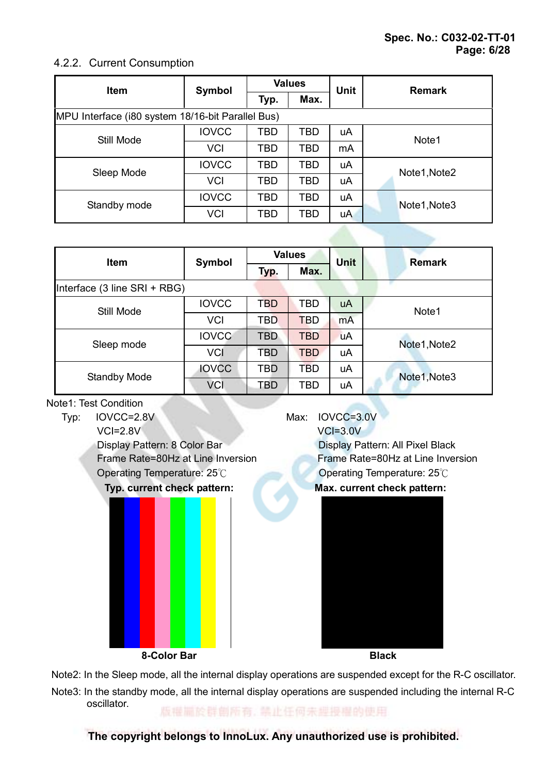### 4.2.2. Current Consumption

| <b>Item</b>                                       | Symbol       | <b>Values</b> |            | <b>Unit</b> | <b>Remark</b> |
|---------------------------------------------------|--------------|---------------|------------|-------------|---------------|
|                                                   |              | Typ.          | Max.       |             |               |
| MPU Interface (i80 system 18/16-bit Parallel Bus) |              |               |            |             |               |
| Still Mode                                        | <b>IOVCC</b> | TBD           | <b>TBD</b> | uA          | Note1         |
|                                                   | <b>VCI</b>   | TBD           | <b>TBD</b> | mA          |               |
| Sleep Mode                                        | <b>IOVCC</b> | <b>TBD</b>    | <b>TBD</b> | uA          | Note1, Note2  |
|                                                   | <b>VCI</b>   | <b>TBD</b>    | <b>TBD</b> | uA          |               |
|                                                   | <b>IOVCC</b> | <b>TBD</b>    | <b>TBD</b> | uA          | Note1, Note3  |
| Standby mode                                      | VCI          | TBD           | TBD        | uA          |               |

| <b>Item</b>                  | Symbol       |            | <b>Values</b> |             | <b>Remark</b>     |
|------------------------------|--------------|------------|---------------|-------------|-------------------|
|                              |              | Typ.       | Max.          | <b>Unit</b> |                   |
| Interface (3 line SRI + RBG) |              |            |               |             |                   |
|                              | <b>IOVCC</b> | <b>TBD</b> | TBD           | <b>uA</b>   | Note <sub>1</sub> |
| Still Mode                   | <b>VCI</b>   | <b>TBD</b> | <b>TBD</b>    | mA          |                   |
| Sleep mode                   | <b>IOVCC</b> | <b>TBD</b> | <b>TBD</b>    | <b>uA</b>   | Note1, Note2      |
|                              | <b>VCI</b>   | TBD        | <b>TBD</b>    | uA          |                   |
| <b>Standby Mode</b>          | <b>IOVCC</b> | <b>TBD</b> | <b>TBD</b>    | uA          | Note1, Note3      |
|                              | <b>VCI</b>   | <b>TBD</b> | <b>TBD</b>    | uA          |                   |

### Note1: Test Condition

Typ: IOVCC=2.8V Max: IOVCC=3.0V VCI=2.8V VCI=3.0V Display Pattern: 8 Color Bar Display Pattern: All Pixel Black Frame Rate=80Hz at Line Inversion Frame Rate=80Hz at Line Inversion Operating Temperature: 25°C Operating Temperature: 25°C Typ. current check pattern: Max. current check pattern: 8-Color Bar Black

Note2: In the Sleep mode, all the internal display operations are suspended except for the R-C oscillator.

Note3: In the standby mode, all the internal display operations are suspended including the internal R-C oscillator. 版權圖於群劇所有, 禁止任何未經投權的使用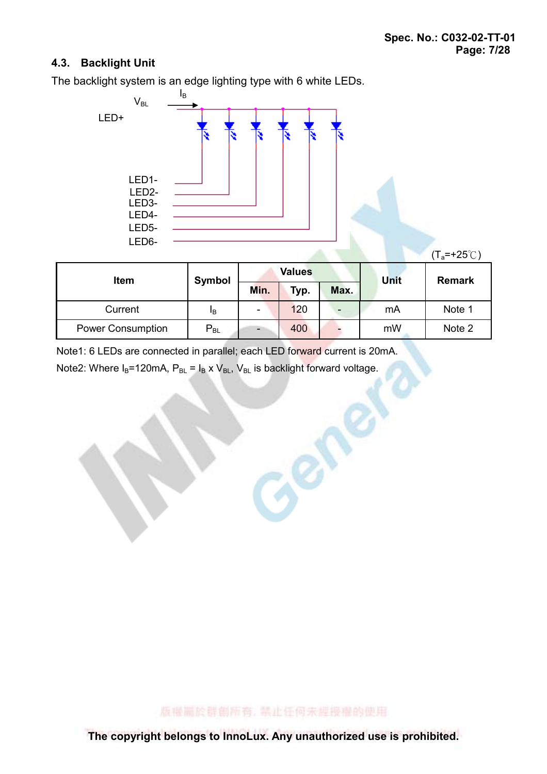### 4.3. Backlight Unit

The backlight system is an edge lighting type with 6 white LEDs.



| <b>Item</b>              | Symbol   | <b>Values</b>            |      |      | Unit | <b>Remark</b> |
|--------------------------|----------|--------------------------|------|------|------|---------------|
|                          |          | Min.                     | Typ. | Max. |      |               |
| Current                  | ΙB       | ۰                        | 120  |      | mA   | Note 1        |
| <b>Power Consumption</b> | $P_{BL}$ | $\overline{\phantom{0}}$ | 400  |      | mW   | Note 2        |

Center

Note1: 6 LEDs are connected in parallel; each LED forward current is 20mA.

Note2: Where  $I_B$ =120mA,  $P_{BL}$  =  $I_B \times V_{BL}$ ,  $V_{BL}$  is backlight forward voltage.

版權圖於群劇所有, 禁止任何未經授權的使用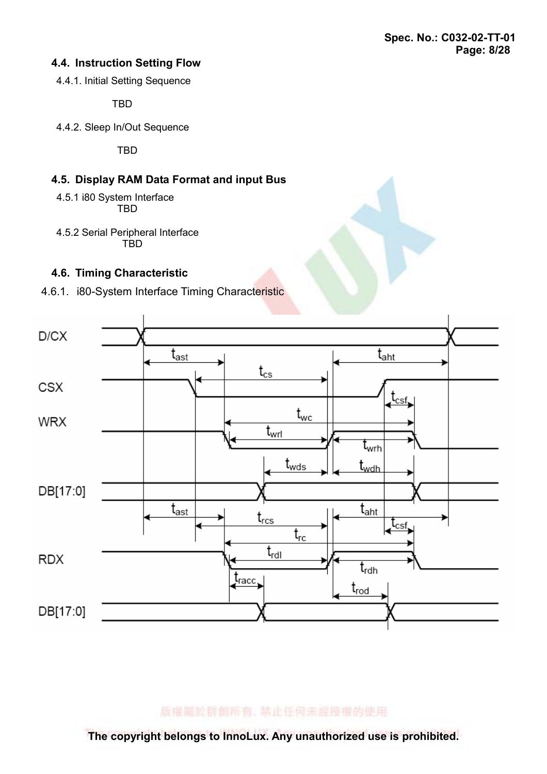### 4.4. Instruction Setting Flow

4.4.1. Initial Setting Sequence

TBD

4.4.2. Sleep In/Out Sequence

**TRD** 

### 4.5. Display RAM Data Format and input Bus

 4.5.1 i80 System Interface **TRD** 

4.5.2 Serial Peripheral Interface **TBD** 

### 4.6. Timing Characteristic





版權圖於群劇所有, 禁止任何未經授權的使用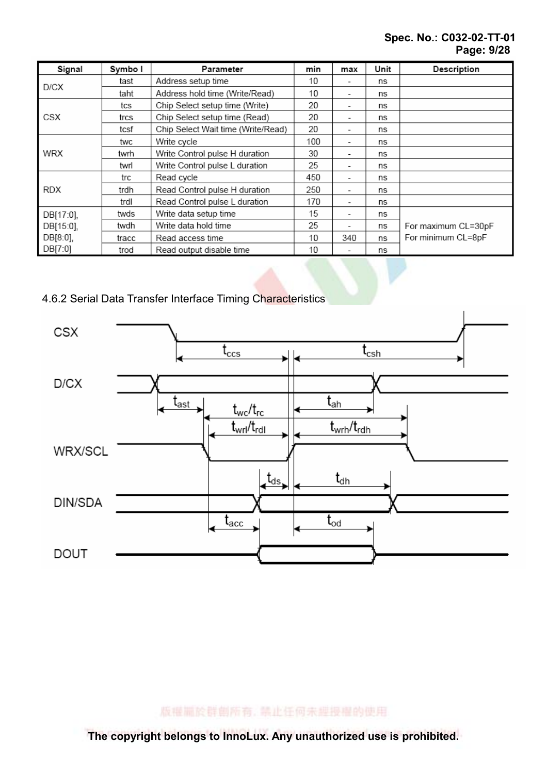### Spec. No.: C032-02-TT-01 Page: 9/28

| Signal    | Symbo I | Parameter                          | min | max                      | Unit | Description         |
|-----------|---------|------------------------------------|-----|--------------------------|------|---------------------|
|           | tast    | Address setup time                 | 10  | $\overline{\phantom{a}}$ | ns   |                     |
| D/CX      | taht    | Address hold time (Write/Read)     | 10  | $\overline{\phantom{a}}$ | ns   |                     |
|           | tcs     | Chip Select setup time (Write)     | 20  | ٠                        | ns   |                     |
| CSX       | trcs    | Chip Select setup time (Read)      | 20  | -                        | ns   |                     |
|           | tcsf    | Chip Select Wait time (Write/Read) | 20  | ۰                        | ns   |                     |
|           | twc     | Write cycle                        | 100 | ۰                        | ns   |                     |
| WRX       | twrh    | Write Control pulse H duration     | 30  | $\overline{\phantom{a}}$ | ns   |                     |
|           | twrl    | Write Control pulse L duration     | 25  | $\overline{\phantom{a}}$ | ns   |                     |
|           | trc     | Read cycle                         | 450 | $\overline{\phantom{a}}$ | ns   |                     |
| RDX       | trdh    | Read Control pulse H duration      | 250 | $\overline{\phantom{a}}$ | ns   |                     |
|           | trdl    | Read Control pulse L duration      | 170 | -                        | ns   |                     |
| DB[17:0], | twds    | Write data setup time              | 15  | $\overline{\phantom{a}}$ | ns   |                     |
| DB[15:0], | twdh    | Write data hold time               | 25  | $\overline{\phantom{a}}$ | ns   | For maximum CL=30pF |
| DB[8:0],  | tracc   | Read access time                   | 10  | 340                      | ns   | For minimum CL=8pF  |
| DB[7:0]   | trod    | Read output disable time           | 10  |                          | ns   |                     |

4.6.2 Serial Data Transfer Interface Timing Characteristics



版權圖於群劇所有, 禁止任何未經授權的使用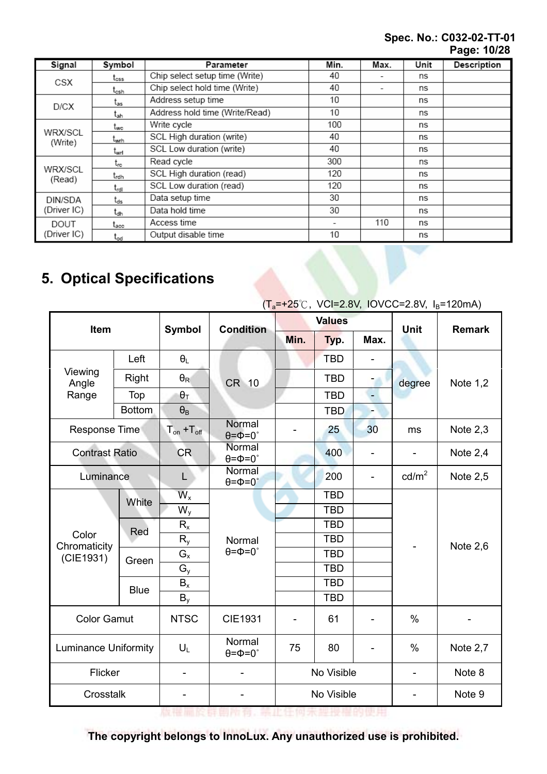### Spec. No.: C032-02-TT-01 Page: 10/28

| Signal                           | Symbol           | Parameter                      | Min. | Max. | Unit | Description |  |
|----------------------------------|------------------|--------------------------------|------|------|------|-------------|--|
| CSX                              | t <sub>oss</sub> | Chip select setup time (Write) | 40   |      | ns   |             |  |
|                                  | t <sub>csh</sub> | Chip select hold time (Write)  | 40   | ٠    | ns   |             |  |
| D/CX                             | t <sub>as</sub>  | Address setup time             | 10   |      | ns   |             |  |
|                                  | t <sub>ah</sub>  | Address hold time (Write/Read) | 10   |      | ns   |             |  |
|                                  | twc              | Write cycle                    | 100  |      | ns   |             |  |
| WRX/SCL<br>(Write)               | t <sub>wrh</sub> | SCL High duration (write)      | 40   |      | ns   |             |  |
|                                  | t <sub>wrl</sub> | SCL Low duration (write)       | 40   |      | ns   |             |  |
| WRX/SCL<br>(Read)                | trc              | Read cycle                     | 300  |      | ns   |             |  |
|                                  | trdh             | SCL High duration (read)       | 120  |      | ns   |             |  |
|                                  | $t_{rdl}$        | SCL Low duration (read)        | 120  |      | ns   |             |  |
| DIN/SDA                          | t <sub>ds</sub>  | Data setup time                | 30   |      | ns   |             |  |
| (Driver IC)                      | t <sub>dh</sub>  | Data hold time                 | 30   |      | ns   |             |  |
| DOUT                             | t <sub>acc</sub> | Access time                    | -    | 110  | ns   |             |  |
| (Driver IC)                      | $t_{\text{od}}$  | Output disable time            | 10   |      | ns   |             |  |
| <b>5. Optical Specifications</b> |                  |                                |      |      |      |             |  |

# 5. Optical Specifications

| $(T_a=+25^{\circ}$ C, VCI=2.8V, IOVCC=2.8V, I <sub>B</sub> =120mA) |               |                       |                                       |               |            |                          |                          |               |  |
|--------------------------------------------------------------------|---------------|-----------------------|---------------------------------------|---------------|------------|--------------------------|--------------------------|---------------|--|
|                                                                    |               | <b>Symbol</b>         | <b>Condition</b>                      | <b>Values</b> |            |                          | <b>Unit</b>              | <b>Remark</b> |  |
|                                                                    | Item          |                       |                                       | Min.          | Typ.       | Max.                     |                          |               |  |
| Viewing<br>Angle                                                   | Left          | $\theta_L$            |                                       |               | <b>TBD</b> |                          |                          |               |  |
|                                                                    | Right         | $\theta_{\mathsf{R}}$ | CR 10                                 |               | <b>TBD</b> |                          | degree                   | Note $1,2$    |  |
| Range                                                              | Top           | $\theta_{\text{T}}$   |                                       |               | <b>TBD</b> | $\overline{\phantom{0}}$ |                          |               |  |
|                                                                    | <b>Bottom</b> | $\theta_{\text{B}}$   |                                       |               | <b>TBD</b> |                          |                          |               |  |
| <b>Response Time</b>                                               |               | $T_{on} + T_{off}$    | Normal<br>$\theta = \Phi = 0$ °       |               | 25         | 30                       | Note $2,3$<br>ms         |               |  |
| <b>Contrast Ratio</b>                                              |               | <b>CR</b>             | Normal<br>$\theta = \Phi = 0$ °       |               | 400        |                          |                          | Note 2,4      |  |
| Luminance                                                          |               | L                     | Normal<br>$\theta = \Phi = 0^{\circ}$ |               | 200        | $\overline{\phantom{0}}$ | $\text{cd/m}^2$          | Note 2,5      |  |
|                                                                    | White         | $W_{x}$               |                                       |               | <b>TBD</b> |                          |                          |               |  |
|                                                                    |               | $W_{y}$               | Normal                                |               | <b>TBD</b> |                          |                          |               |  |
|                                                                    | Red           | $R_{x}$               |                                       |               | <b>TBD</b> |                          |                          |               |  |
| Color<br>Chromaticity<br>(CIE1931)                                 |               | $R_{y}$               |                                       |               | <b>TBD</b> |                          |                          | Note $2,6$    |  |
|                                                                    | Green         | $G_{x}$               | $\theta = \phi = 0$ °                 |               | <b>TBD</b> |                          |                          |               |  |
|                                                                    |               | $G_{y}$               |                                       |               | <b>TBD</b> |                          |                          |               |  |
|                                                                    | <b>Blue</b>   | $B_{x}$               |                                       |               | <b>TBD</b> |                          |                          |               |  |
|                                                                    |               | $B_y$                 |                                       |               | <b>TBD</b> |                          |                          |               |  |
| <b>Color Gamut</b>                                                 |               | <b>NTSC</b>           | <b>CIE1931</b>                        |               | 61         |                          | $\frac{0}{0}$            |               |  |
| <b>Luminance Uniformity</b>                                        |               | $U_L$                 | Normal<br>$\theta = \phi = 0$ °       | 75            | 80         | $\overline{\phantom{a}}$ | %                        | Note $2,7$    |  |
| Flicker                                                            |               | -                     |                                       |               | No Visible |                          | $\overline{\phantom{m}}$ | Note 8        |  |
| Crosstalk                                                          |               | -                     |                                       |               | No Visible |                          | ۰                        | Note 9        |  |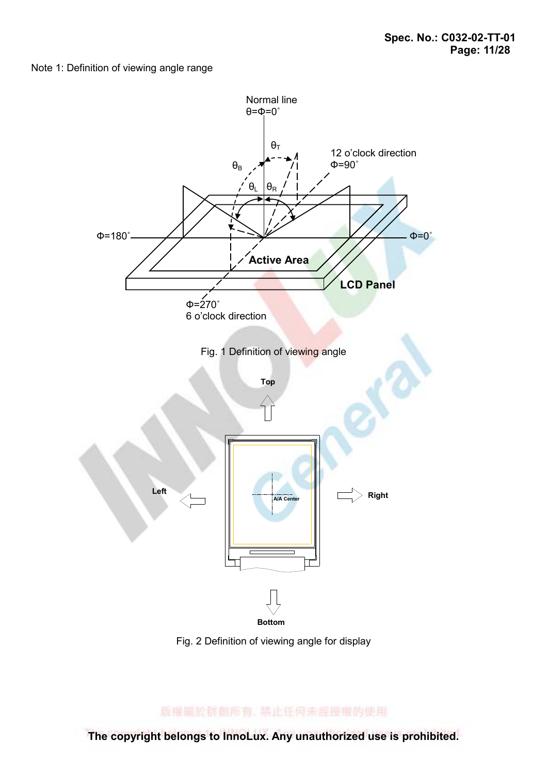#### Note 1: Definition of viewing angle range



Fig. 2 Definition of viewing angle for display

版權圖於群創所有, 禁止任何未經授權的使用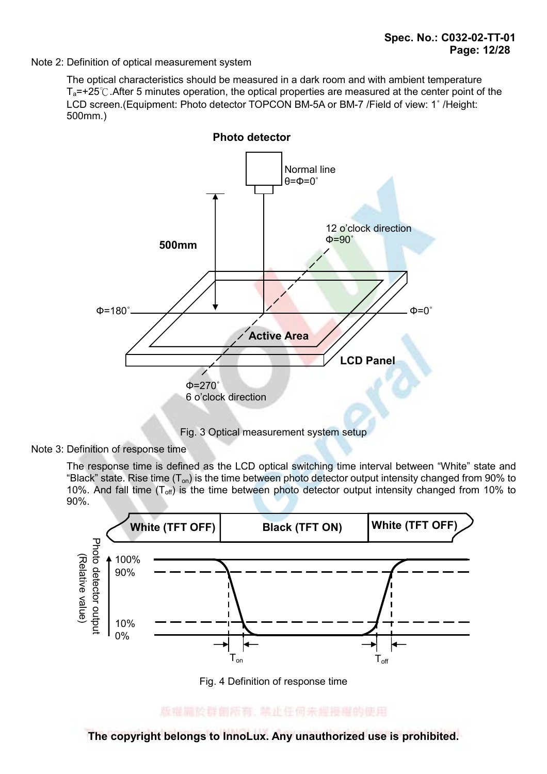Note 2: Definition of optical measurement system

 The optical characteristics should be measured in a dark room and with ambient temperature  $T_a$ =+25°C. After 5 minutes operation, the optical properties are measured at the center point of the LCD screen.(Equipment: Photo detector TOPCON BM-5A or BM-7 /Field of view: 1˚ /Height: 500mm.)



Fig. 3 Optical measurement system setup

Note 3: Definition of response time

 The response time is defined as the LCD optical switching time interval between "White" state and "Black" state. Rise time  $(T_{on})$  is the time between photo detector output intensity changed from 90% to 10%. And fall time  $(T_{off})$  is the time between photo detector output intensity changed from 10% to 90%.



Fig. 4 Definition of response time

版權圖於群創所有, 禁止任何未經投權的使用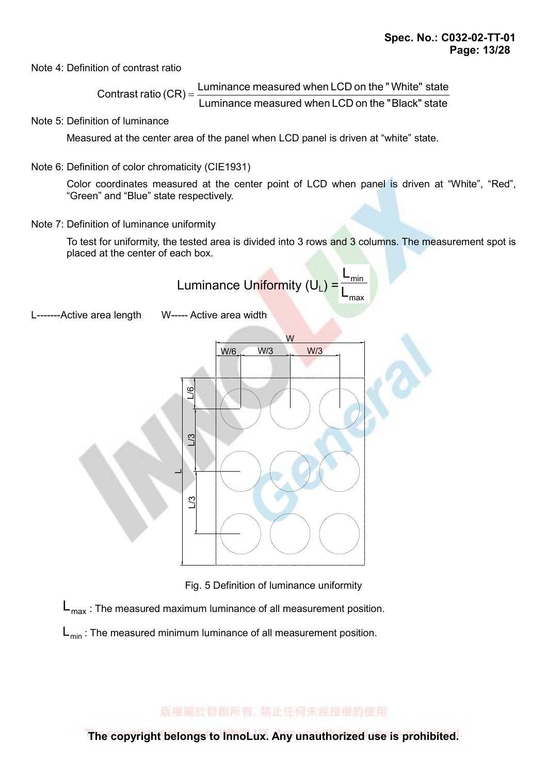Note 4: Definition of contrast ratio

Luminance measured when LCD on the " Black" state Contrast ratio  $(CR) =$  Luminance measured when LCD on the "White" state

Note 5: Definition of luminance

Measured at the center area of the panel when LCD panel is driven at "white" state.

Note 6: Definition of color chromaticity (CIE1931)

 Color coordinates measured at the center point of LCD when panel is driven at "White", "Red", "Green" and "Blue" state respectively.

Note 7: Definition of luminance uniformity

To test for uniformity, the tested area is divided into 3 rows and 3 columns. The measurement spot is placed at the center of each box.

Luminance Uniformity 
$$
(U_L) = \frac{L_{min}}{L_{max}}
$$

L-------Active area length W----- Active area width



Fig. 5 Definition of luminance uniformity

 $L_{\text{max}}$ : The measured maximum luminance of all measurement position.

 $L_{min}$ : The measured minimum luminance of all measurement position.

版權圖於群劇所有, 禁止任何未經授權的使用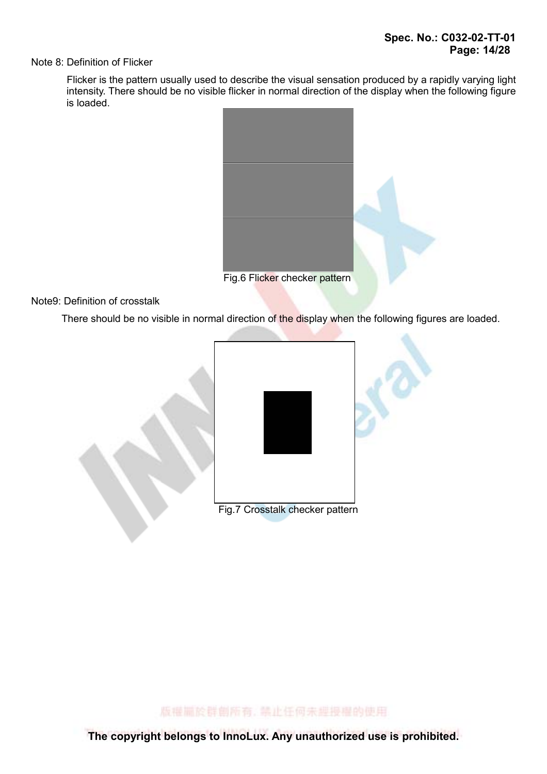#### Note 8: Definition of Flicker

 Flicker is the pattern usually used to describe the visual sensation produced by a rapidly varying light intensity. There should be no visible flicker in normal direction of the display when the following figure is loaded.



#### Note9: Definition of crosstalk

There should be no visible in normal direction of the display when the following figures are loaded.



版權圖於群劇所有, 禁止任何未經授權的使用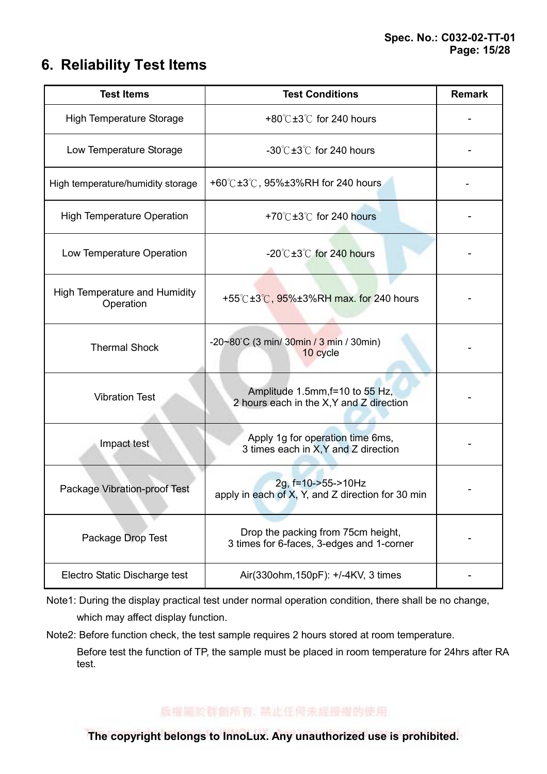# 6. Reliability Test Items

| <b>Test Items</b>                                 | <b>Test Conditions</b>                                                          | <b>Remark</b> |
|---------------------------------------------------|---------------------------------------------------------------------------------|---------------|
| <b>High Temperature Storage</b>                   | +80 $\degree$ C ±3 $\degree$ C for 240 hours                                    |               |
| Low Temperature Storage                           | $-30^{\circ}$ C $\pm 3^{\circ}$ C for 240 hours                                 |               |
| High temperature/humidity storage                 | +60° $C$ ±3° $C$ , 95%±3%RH for 240 hours                                       |               |
| <b>High Temperature Operation</b>                 | +70 $\degree$ C ±3 $\degree$ C for 240 hours                                    |               |
| Low Temperature Operation                         | $-20^{\circ}$ C $\pm 3^{\circ}$ C for 240 hours                                 |               |
| <b>High Temperature and Humidity</b><br>Operation | +55°C±3°C, 95%±3%RH max. for 240 hours                                          |               |
| <b>Thermal Shock</b>                              | -20~80°C (3 min/ 30min / 3 min / 30min)<br>10 cycle                             |               |
| <b>Vibration Test</b>                             | Amplitude 1.5mm, f=10 to 55 Hz,<br>2 hours each in the X, Y and Z direction     |               |
| Impact test                                       | Apply 1g for operation time 6ms,<br>3 times each in X, Y and Z direction        |               |
| Package Vibration-proof Test                      | 2g, f=10->55->10Hz<br>apply in each of X, Y, and Z direction for 30 min         |               |
| Package Drop Test                                 | Drop the packing from 75cm height,<br>3 times for 6-faces, 3-edges and 1-corner |               |
| Electro Static Discharge test                     | Air(330ohm, 150pF): +/-4KV, 3 times                                             |               |

Note1: During the display practical test under normal operation condition, there shall be no change, which may affect display function.

Note2: Before function check, the test sample requires 2 hours stored at room temperature.

 Before test the function of TP, the sample must be placed in room temperature for 24hrs after RA test.

版權圖於群劇所有, 禁止任何未經授權的使用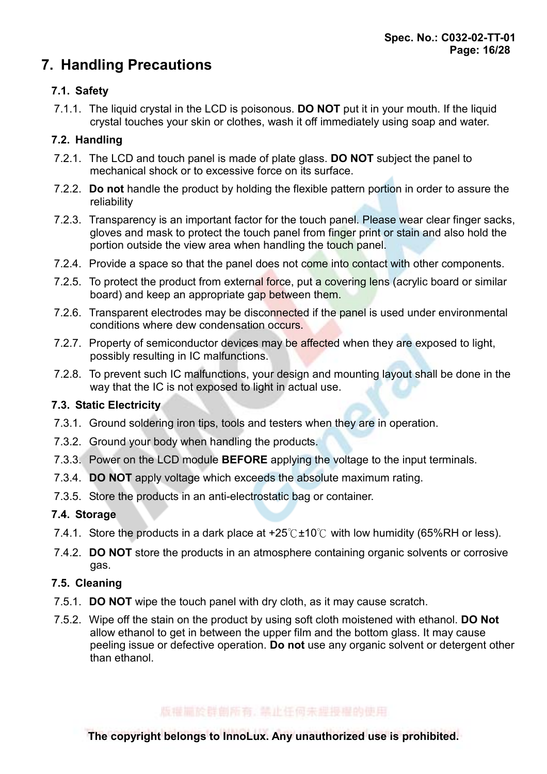# 7. Handling Precautions

## 7.1. Safety

7.1.1. The liquid crystal in the LCD is poisonous. **DO NOT** put it in your mouth. If the liquid crystal touches your skin or clothes, wash it off immediately using soap and water.

### 7.2. Handling

- 7.2.1. The LCD and touch panel is made of plate glass. **DO NOT** subject the panel to mechanical shock or to excessive force on its surface.
- 7.2.2. Do not handle the product by holding the flexible pattern portion in order to assure the reliability
- 7.2.3. Transparency is an important factor for the touch panel. Please wear clear finger sacks, gloves and mask to protect the touch panel from finger print or stain and also hold the portion outside the view area when handling the touch panel.
- 7.2.4. Provide a space so that the panel does not come into contact with other components.
- 7.2.5. To protect the product from external force, put a covering lens (acrylic board or similar board) and keep an appropriate gap between them.
- 7.2.6. Transparent electrodes may be disconnected if the panel is used under environmental conditions where dew condensation occurs.
- 7.2.7. Property of semiconductor devices may be affected when they are exposed to light, possibly resulting in IC malfunctions.
- 7.2.8. To prevent such IC malfunctions, your design and mounting layout shall be done in the way that the IC is not exposed to light in actual use.

### 7.3. Static Electricity

- 7.3.1. Ground soldering iron tips, tools and testers when they are in operation.
- 7.3.2. Ground your body when handling the products.
- 7.3.3. Power on the LCD module **BEFORE** applying the voltage to the input terminals.
- 7.3.4. DO NOT apply voltage which exceeds the absolute maximum rating.
- 7.3.5. Store the products in an anti-electrostatic bag or container.

### 7.4. Storage

- 7.4.1. Store the products in a dark place at  $+25^{\circ}$  c + 10  $\circ$  with low humidity (65%RH or less).
- 7.4.2. **DO NOT** store the products in an atmosphere containing organic solvents or corrosive gas.

### 7.5. Cleaning

- 7.5.1. **DO NOT** wipe the touch panel with dry cloth, as it may cause scratch.
- 7.5.2. Wipe off the stain on the product by using soft cloth moistened with ethanol. **DO Not** allow ethanol to get in between the upper film and the bottom glass. It may cause peeling issue or defective operation. Do not use any organic solvent or detergent other than ethanol.

### 版權圖於群創版有, 禁止任何未理授權的使用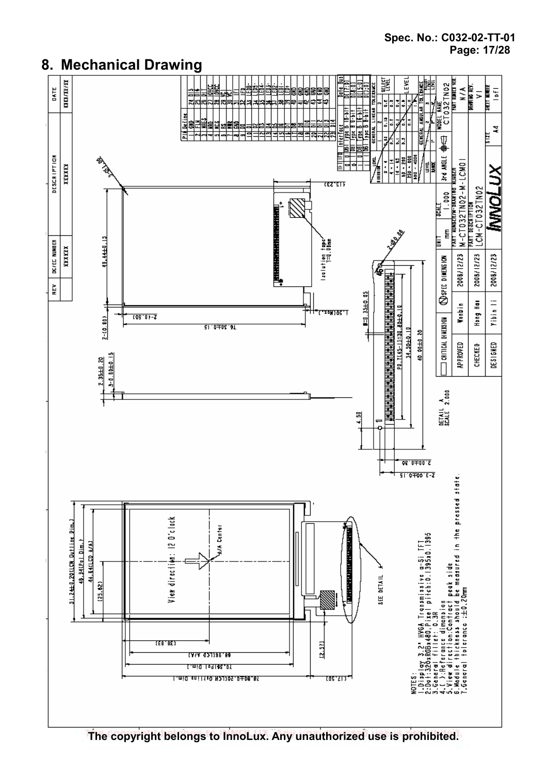

## 8. Mechanical Drawing

The copyright belongs to InnoLux. Any unauthorized use is prohibited.

### Spec. No.: C032-02-TT-01 Page: 17/28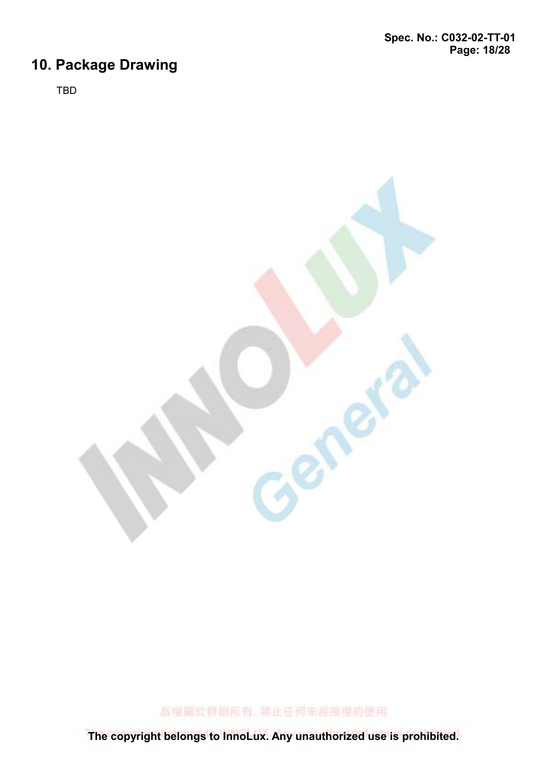# 10. Package Drawing

TBD



版權圖於群創所有, 禁止任何未經授權的使用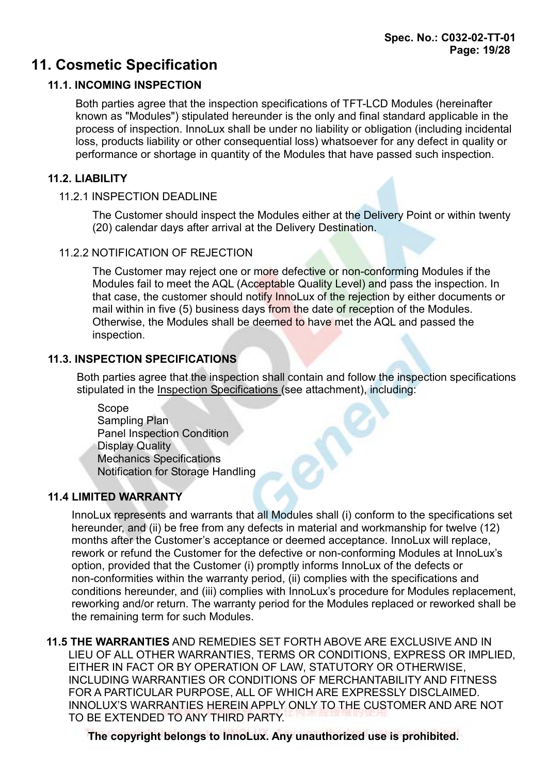# 11. Cosmetic Specification

## 11.1. INCOMING INSPECTION

Both parties agree that the inspection specifications of TFT-LCD Modules (hereinafter known as "Modules") stipulated hereunder is the only and final standard applicable in the process of inspection. InnoLux shall be under no liability or obligation (including incidental loss, products liability or other consequential loss) whatsoever for any defect in quality or performance or shortage in quantity of the Modules that have passed such inspection.

### 11.2. LIABILITY

### 11.2.1 INSPECTION DEADLINE

The Customer should inspect the Modules either at the Delivery Point or within twenty (20) calendar days after arrival at the Delivery Destination.

### 11.2.2 NOTIFICATION OF REJECTION

The Customer may reject one or more defective or non-conforming Modules if the Modules fail to meet the AQL (Acceptable Quality Level) and pass the inspection. In that case, the customer should notify InnoLux of the rejection by either documents or mail within in five (5) business days from the date of reception of the Modules. Otherwise, the Modules shall be deemed to have met the AQL and passed the inspection.

### 11.3. INSPECTION SPECIFICATIONS

Both parties agree that the inspection shall contain and follow the inspection specifications stipulated in the Inspection Specifications (see attachment), including:

20

 Scope Sampling Plan Panel Inspection Condition Display Quality Mechanics Specifications Notification for Storage Handling

## 11.4 LIMITED WARRANTY

InnoLux represents and warrants that all Modules shall (i) conform to the specifications set hereunder, and (ii) be free from any defects in material and workmanship for twelve (12) months after the Customer's acceptance or deemed acceptance. InnoLux will replace, rework or refund the Customer for the defective or non-conforming Modules at InnoLux's option, provided that the Customer (i) promptly informs InnoLux of the defects or non-conformities within the warranty period, (ii) complies with the specifications and conditions hereunder, and (iii) complies with InnoLux's procedure for Modules replacement, reworking and/or return. The warranty period for the Modules replaced or reworked shall be the remaining term for such Modules.

11.5 THE WARRANTIES AND REMEDIES SET FORTH ABOVE ARE EXCLUSIVE AND IN LIEU OF ALL OTHER WARRANTIES, TERMS OR CONDITIONS, EXPRESS OR IMPLIED, EITHER IN FACT OR BY OPERATION OF LAW, STATUTORY OR OTHERWISE, INCLUDING WARRANTIES OR CONDITIONS OF MERCHANTABILITY AND FITNESS FOR A PARTICULAR PURPOSE, ALL OF WHICH ARE EXPRESSLY DISCLAIMED. INNOLUX'S WARRANTIES HEREIN APPLY ONLY TO THE CUSTOMER AND ARE NOT TO BE EXTENDED TO ANY THIRD PARTY.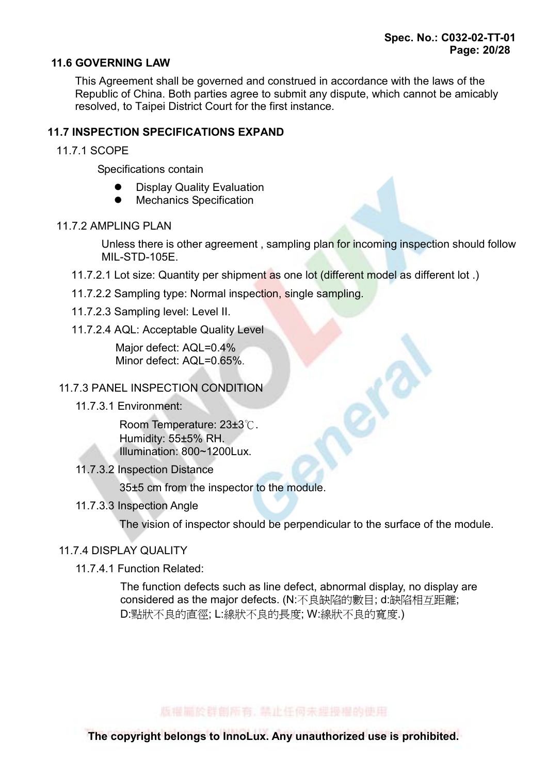### 11.6 GOVERNING LAW

This Agreement shall be governed and construed in accordance with the laws of the Republic of China. Both parties agree to submit any dispute, which cannot be amicably resolved, to Taipei District Court for the first instance.

### 11.7 INSPECTION SPECIFICATIONS EXPAND

11.7.1 SCOPE

Specifications contain

- **Display Quality Evaluation**
- **•** Mechanics Specification

#### 11.7.2 AMPLING PLAN

Unless there is other agreement , sampling plan for incoming inspection should follow MIL-STD-105E.

- 11.7.2.1 Lot size: Quantity per shipment as one lot (different model as different lot .)
- 11.7.2.2 Sampling type: Normal inspection, single sampling.
- 11.7.2.3 Sampling level: Level II.
- 11.7.2.4 AQL: Acceptable Quality Level

Major defect: AQL=0.4% Minor defect: AQL=0.65%.

### 11.7.3 PANEL INSPECTION CONDITION

11.7.3.1 Environment:

Room Temperature: 23±3°C. Humidity: 55±5% RH. Illumination: 800~1200Lux.

11.7.3.2 Inspection Distance

35±5 cm from the inspector to the module.

11.7.3.3 Inspection Angle

The vision of inspector should be perpendicular to the surface of the module.

### 11.7.4 DISPLAY QUALITY

11.7.4.1 Function Related:

The function defects such as line defect, abnormal display, no display are considered as the major defects. (N:不良缺陷的數目; d:缺陷相互距離; D:點狀不良的直徑; L:線狀不良的長度; W:線狀不良的寬度.)

### 版權圖於群創版有, 禁止任何未理授權的使用。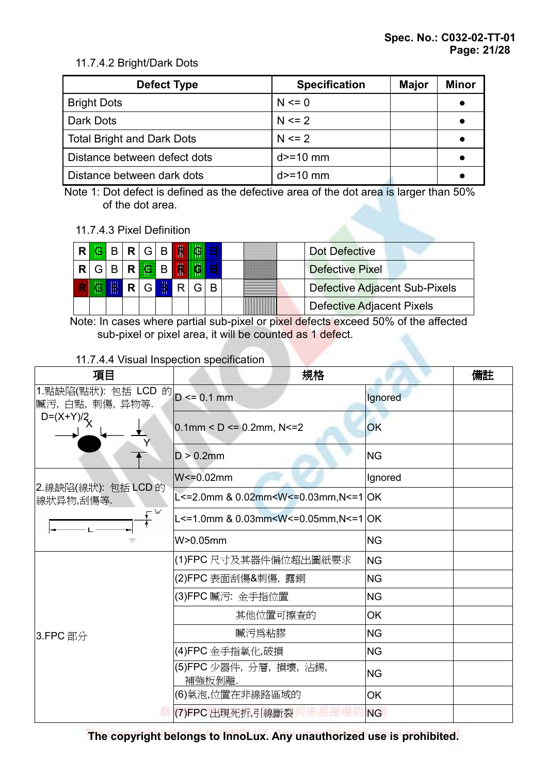### 11.7.4.2 Bright/Dark Dots

| Defect Type                       | <b>Specification</b> | <b>Major</b> | <b>Minor</b> |
|-----------------------------------|----------------------|--------------|--------------|
| <b>Bright Dots</b>                | $N \le 0$            |              |              |
| Dark Dots                         | $N \le 2$            |              |              |
| <b>Total Bright and Dark Dots</b> | $N \le 2$            |              |              |
| Distance between defect dots      | $d>=10$ mm           |              |              |
| Distance between dark dots        | $d = 10$ mm          |              |              |

Note 1: Dot defect is defined as the defective area of the dot area is larger than 50% of the dot area.

### 11.7.4.3 Pixel Definition

| D. |  | <b>SSBRGBIR</b>                             |  |   | Dot Defective                 |
|----|--|---------------------------------------------|--|---|-------------------------------|
|    |  | $R G B R$ $\frac{1}{16}$ $B$ $\frac{1}{16}$ |  |   | Defective Pixel               |
|    |  | $R \,   \, G$ $\equiv R \,   \, G$          |  | B | Defective Adjacent Sub-Pixels |
|    |  |                                             |  |   | Defective Adjacent Pixels     |

Note: In cases where partial sub-pixel or pixel defects exceed 50% of the affected sub-pixel or pixel area, it will be counted as 1 defect.

### 11.7.4.4 Visual Inspection specification

| 項目                                                  | 規格                                                                                  |           | 備註 |
|-----------------------------------------------------|-------------------------------------------------------------------------------------|-----------|----|
| 1.點缺陷(點狀): 包括 LCD 的 D <= 0.1 mm<br>贓污, 白點, 刺傷, 异物等. |                                                                                     | Ignored   |    |
| $D=(X+Y)/2$                                         | $0.1$ mm < D <= 0.2mm, N <= 2                                                       | OK        |    |
|                                                     | $D > 0.2$ mm                                                                        | <b>NG</b> |    |
|                                                     | $W = 0.02$ mm                                                                       | Ignored   |    |
| 2.線缺陷(線狀): 包括 LCD 的<br>線狀异物,刮傷等.                    | L<=2.0mm & 0.02mm <w<=0.03mm,n<=1 ok< td=""><td></td><td></td></w<=0.03mm,n<=1 ok<> |           |    |
| – W                                                 | L<=1.0mm & 0.03mm <w<=0.05mm,n<=1 ok< td=""><td></td><td></td></w<=0.05mm,n<=1 ok<> |           |    |
|                                                     | W>0.05mm                                                                            | <b>NG</b> |    |
|                                                     | (1)FPC 尺寸及其器件偏位超出圖紙要求                                                               | <b>NG</b> |    |
|                                                     | (2)FPC 表面刮傷&刺傷, 露銅                                                                  | <b>NG</b> |    |
|                                                     | (3)FPC 贓污: 金手指位置                                                                    | <b>NG</b> |    |
|                                                     | 其他位置可擦查的                                                                            | <b>OK</b> |    |
| 3.FPC 部分                                            | 贓污爲粘膠                                                                               | <b>NG</b> |    |
|                                                     | (4)FPC 金手指氧化,破損                                                                     | <b>NG</b> |    |
|                                                     | (5)FPC 少器件, 分層, 損壞, 沾錫,<br>補強板剝離.                                                   | <b>NG</b> |    |
|                                                     | (6)氣泡,位置在非線路區域的                                                                     | OK        |    |
|                                                     | (7)FPC 出現死折,引線斷裂                                                                    | <b>NG</b> |    |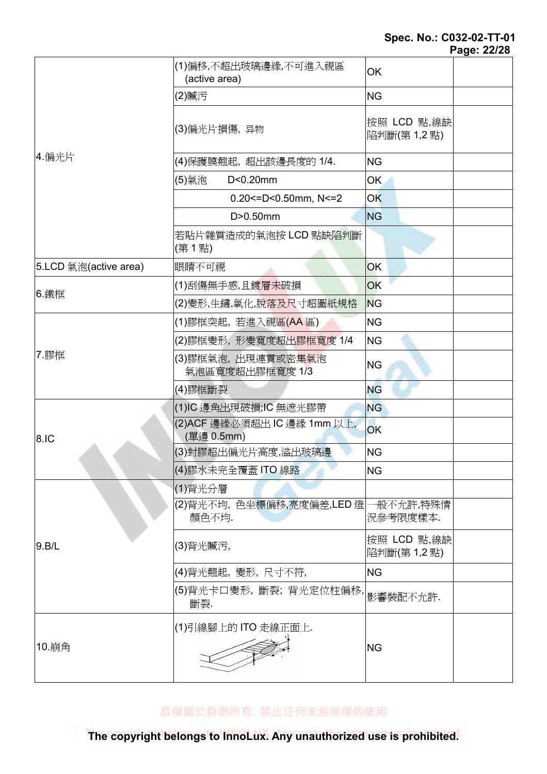## Spec. No.: C032-02-TT-01

| Page: 22/28 |
|-------------|
|-------------|

|                       | (1)偏移,不超出玻璃邊緣,不可進入視區<br>(active area)       | OK                        |  |
|-----------------------|---------------------------------------------|---------------------------|--|
|                       | (2)贓污                                       | <b>NG</b>                 |  |
|                       | (3)偏光片損傷, 异物                                | 按照 LCD 點,線缺<br>陷判斷(第1,2點) |  |
| 4.偏光片                 | (4)保護膜翹起,超出該邊長度的 1/4.                       | <b>NG</b>                 |  |
|                       | D<0.20mm<br>(5)氣泡                           | <b>OK</b>                 |  |
|                       | $0.20$ <= D < 0.50 mm, N <= 2               | <b>OK</b>                 |  |
|                       | $D > 0.50$ mm                               | <b>NG</b>                 |  |
|                       | 若貼片雜質造成的氣泡按 LCD 點缺陷判斷<br>(第1點)              |                           |  |
| 5.LCD 氣泡(active area) | 眼睛不可視                                       | <b>OK</b>                 |  |
|                       | (1)刮傷無手感,且鍍層未破損                             | OK                        |  |
| 6. 鐵框                 | (2)變形,生鏽,氧化,脫落及尺寸超圖紙規格                      | <b>NG</b>                 |  |
|                       | (1)膠框突起,若進入視區(AA 區)                         | <b>NG</b>                 |  |
|                       | (2)膠框變形,形變寬度超出膠框寬度 1/4                      | <b>NG</b>                 |  |
| 7.膠框                  | (3)膠框氣泡,出現連貫或密集氣泡<br>氣泡區寬度超出膠框寬度 1/3        | <b>NG</b>                 |  |
|                       | (4)膠框斷裂                                     | <b>NG</b>                 |  |
|                       | (1)IC 邊角出現破損;IC 無遮光膠帶                       | <b>NG</b>                 |  |
| 8.IC                  | (2)ACF 邊緣必須超出 IC 邊緣 1mm 以上,<br>(單邊 0.5mm)   | OK                        |  |
|                       | (3)封膠超出偏光片高度,溢出玻璃邊                          | <b>NG</b>                 |  |
|                       | (4)膠水未完全覆蓋 ITO 線路                           | <b>NG</b>                 |  |
|                       | (1)背光分層                                     |                           |  |
|                       | (2)背光不均,色坐標偏移,亮度偏差,LED 燈 一般不允許,特殊情<br>顏色不均. | 況參考限度樣本.                  |  |
| 9.B/L                 | (3)背光贓污,                                    | 按照 LCD 點,線缺<br>陷判斷(第1,2點) |  |
|                       | (4)背光翹起, 變形, 尺寸不符,                          | <b>NG</b>                 |  |
|                       | (5)背光卡口變形, 斷裂; 背光定位柱偏移,<br>斷裂.              | 影響裝配不允許.                  |  |
| 10.崩角                 | (1)引線腳上的 ITO 走線正面上.                         | <b>NG</b>                 |  |

版權圖於群創所有, 禁止任何未經授權的使用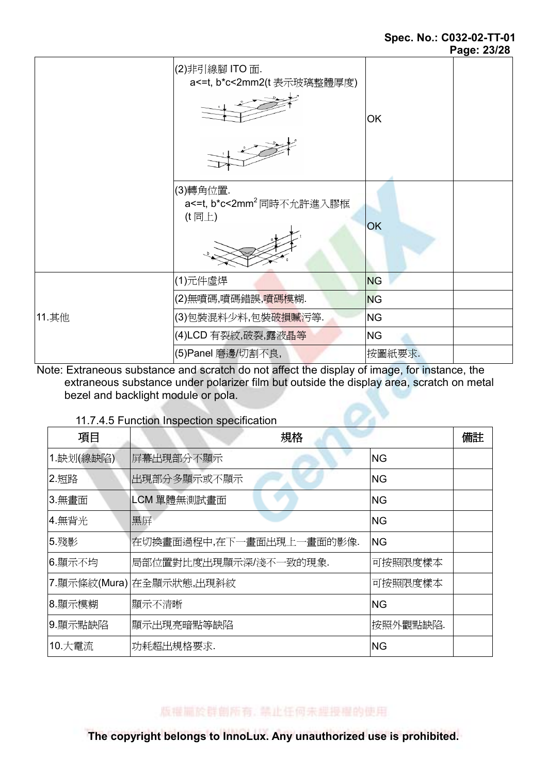#### Spec. No.: C032-02-TT-01 Page: 23/28

|       |                                                            | r ay <del>o</del> . <i>z</i> u/zo |
|-------|------------------------------------------------------------|-----------------------------------|
|       | (2)非引線腳 ITO 面.<br>a<=t, b*c<2mm2(t 表示玻璃整體厚度)               | OK                                |
|       | (3)轉角位置.<br>a<=t, b*c<2mm <sup>2</sup> 同時不允許進入膠框<br>(t 同上) | <b>OK</b>                         |
|       | (1)元件虛焊                                                    | <b>NG</b>                         |
|       | (2)無噴碼,噴碼錯誤,噴碼模糊.                                          | <b>NG</b>                         |
| 11.其他 | (3)包裝混料少料,包裝破損贓污等.                                         | <b>NG</b>                         |
|       | (4)LCD 有裂紋,破裂,露液晶等                                         | <b>NG</b>                         |
|       | (5) Panel 磨邊/切割不良,                                         | 按圖紙要求.                            |

Note: Extraneous substance and scratch do not affect the display of image, for instance, the extraneous substance under polarizer film but outside the display area, scratch on metal bezel and backlight module or pola.

### 11.7.4.5 Function Inspection specification

| 項目        | 規格                       |           | 備註 |
|-----------|--------------------------|-----------|----|
| 1.缺划(線缺陷) | 屏幕出現部分不顯示                | <b>NG</b> |    |
| 2.短路      | 出現部分多顯示或不顯示              | <b>NG</b> |    |
| 3.無畫面     | LCM 單體無測試畫面              | <b>NG</b> |    |
| 4.無背光     | 黑屏                       | <b>NG</b> |    |
| 5.殘影      | 在切換畫面過程中,在下一畫面出現上一畫面的影像. | <b>NG</b> |    |
| 6.顯示不均    | 局部位置對比度出現顯示深/淺不一致的現象.    | 可按照限度樣本   |    |
|           | 7.顯示條紋(Mura) 在全顯示狀態,出現斜紋 | 可按照限度樣本   |    |
| 8.顯示模糊    | 顯示不清晰                    | ING       |    |
| 9.顯示點缺陷   | 顯示出現亮暗點等缺陷               | 按照外觀點缺陷.  |    |
| 10.大電流    | 功耗超出規格要求.                | ΙNG       |    |

版權圖於群劇所有, 禁止任何未經授權的使用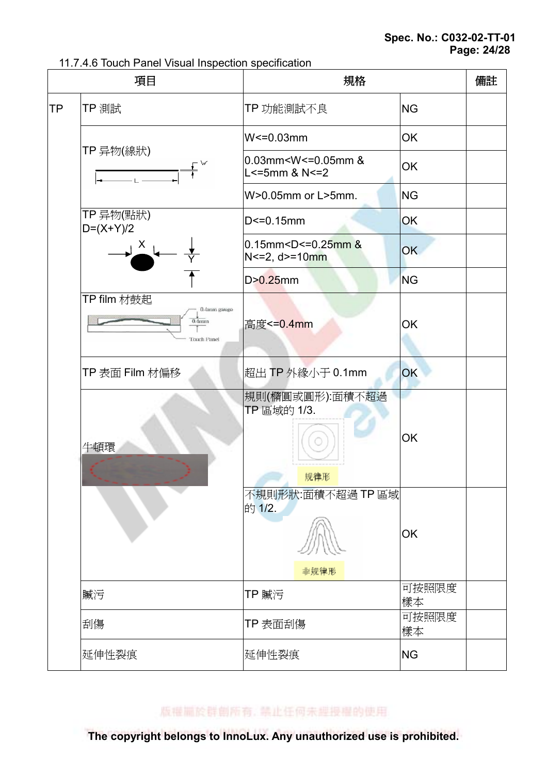11.7.4.6 Touch Panel Visual Inspection specification

|    | 項目                                                           | 規格                                                                              |             | 備註 |
|----|--------------------------------------------------------------|---------------------------------------------------------------------------------|-------------|----|
| ΤP | TP 測試                                                        | TP 功能測試不良                                                                       | <b>NG</b>   |    |
|    |                                                              | $W<=0.03$ mm                                                                    | OK          |    |
|    | TP 异物(線狀)                                                    | 0.03mm <w<=0.05mm &<br="">L&lt;=5mm &amp; N&lt;=2</w<=0.05mm>                   | OK          |    |
|    |                                                              | W>0.05mm or L>5mm.                                                              | <b>NG</b>   |    |
|    | TP 异物(點狀)<br>$D=(X+Y)/2$                                     | $D < = 0.15$ mm                                                                 | OK          |    |
|    | $\frac{X}{2}$                                                | $0.15$ mm <d<=0.25mm &<br=""><math>N &lt; = 2, d &gt; = 10</math>mm</d<=0.25mm> | OK          |    |
|    |                                                              | $D > 0.25$ mm                                                                   | <b>NG</b>   |    |
|    | TP film 材鼓起<br>0.4mm gauge<br>$0.4$ mm<br><b>Touch Panel</b> | 高度<=0.4mm                                                                       | OK          |    |
|    | TP 表面 Film 材偏移                                               | 超出 TP 外緣小于 0.1mm                                                                | OK          |    |
|    | 牛頓環                                                          | 規則(橢圓或圓形):面積不超過<br>TP 區域的 1/3.<br>规律形                                           | ОK          |    |
|    |                                                              | 不規則形狀:面積不超過TP區域<br>的 1/2.<br>非规律形                                               | OK          |    |
|    | 贓污                                                           | TP 贓污                                                                           | 可按照限度<br>樣本 |    |
|    | 刮傷                                                           | TP 表面刮傷                                                                         | 可按照限度<br>樣本 |    |
|    | 延伸性裂痕                                                        | 延伸性裂痕                                                                           | <b>NG</b>   |    |

版權圖於群創所有, 禁止任何未經授權的使用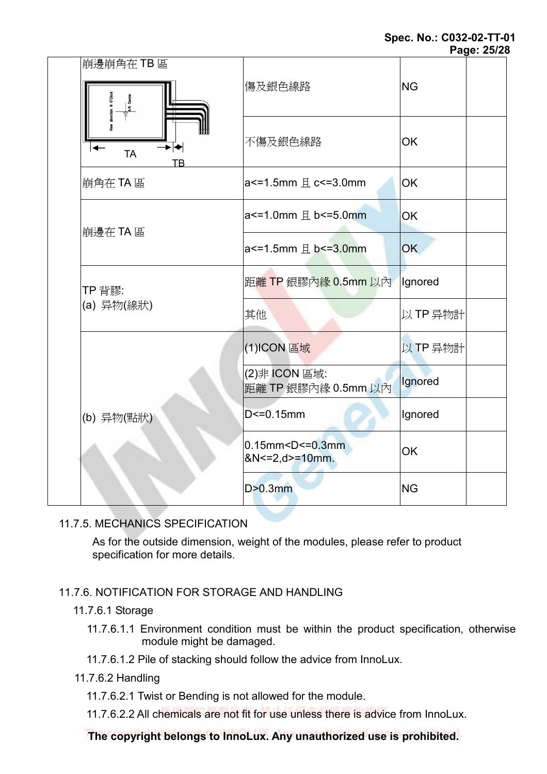#### Spec. No.: C032-02-TT-01 Page: 25/28

|                                                                 |                                                           | uyu. <i>Lu</i> ız |
|-----------------------------------------------------------------|-----------------------------------------------------------|-------------------|
| 崩邊崩角在TB區<br><b>PALA</b> Center<br>▸┝┥<br><b>TA</b><br><b>TB</b> | 傷及銀色線路                                                    | <b>NG</b>         |
|                                                                 | 不傷及銀色線路                                                   | <b>OK</b>         |
| 崩角在TA 區                                                         | $a$ <= 1.5 mm $H$ c <= 3.0 mm                             | <b>OK</b>         |
| 崩邊在 TA 區                                                        | $a$ <= 1.0 mm $H$ b <= 5.0 mm                             | OK                |
|                                                                 | $a$ <= 1.5mm $H$ b <= 3.0mm                               | OK                |
| TP 背膠:<br>(a) 异物(線狀)                                            | 距離 TP 銀膠內緣 0.5mm 以內                                       | lgnored           |
|                                                                 | 其他                                                        | 以TP 异物計           |
| (b) 异物(點狀)                                                      | (1)ICON 區域                                                | 以TP 异物計           |
|                                                                 | (2)非 ICON 區域:<br>距離 TP 銀膠內緣 0.5mm 以內                      | <b>Ignored</b>    |
|                                                                 | $D < = 0.15$ mm                                           | Ignored           |
|                                                                 | $0.15$ mm < $D$ <= $0.3$ mm<br>$&N \leq 2, d \geq 10$ mm. | <b>OK</b>         |
|                                                                 | $D > 0.3$ mm                                              | <b>NG</b>         |

## 11.7.5. MECHANICS SPECIFICATION

As for the outside dimension, weight of the modules, please refer to product specification for more details.

## 11.7.6. NOTIFICATION FOR STORAGE AND HANDLING

### 11.7.6.1 Storage

11.7.6.1.1 Environment condition must be within the product specification, otherwise module might be damaged.

11.7.6.1.2 Pile of stacking should follow the advice from InnoLux.

### 11.7.6.2 Handling

11.7.6.2.1 Twist or Bending is not allowed for the module.

11.7.6.2.2 All chemicals are not fit for use unless there is advice from InnoLux.